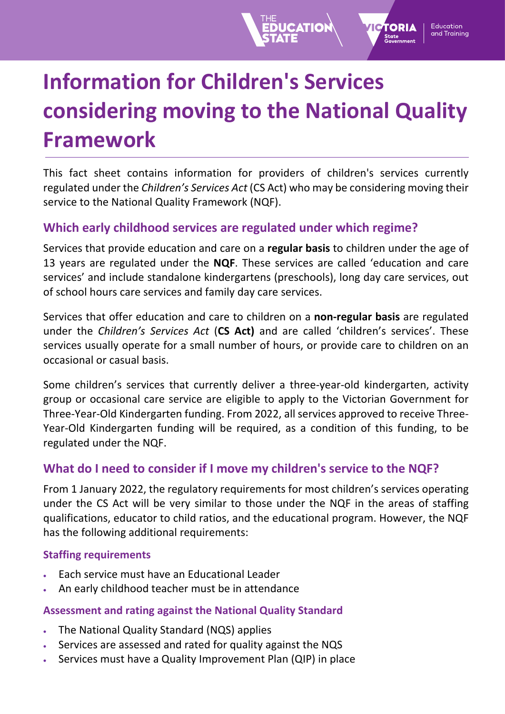# **Information for Children's Services considering moving to the National Quality Framework**

Education

and Training

TORIA

This fact sheet contains information for providers of children's services currently regulated under the *Children's Services Act* (CS Act) who may be considering moving their service to the National Quality Framework (NQF).

## **Which early childhood services are regulated under which regime?**

Services that provide education and care on a **regular basis** to children under the age of 13 years are regulated under the **NQF**. These services are called 'education and care services' and include standalone kindergartens (preschools), long day care services, out of school hours care services and family day care services.

Services that offer education and care to children on a **non-regular basis** are regulated under the *Children's Services Act* (**CS Act)** and are called 'children's services'. These services usually operate for a small number of hours, or provide care to children on an occasional or casual basis.

Some children's services that currently deliver a three-year-old kindergarten, activity group or occasional care service are eligible to apply to the Victorian Government for Three-Year-Old Kindergarten funding. From 2022, all services approved to receive Three-Year-Old Kindergarten funding will be required, as a condition of this funding, to be regulated under the NQF.

## **What do I need to consider if I move my children's service to the NQF?**

From 1 January 2022, the regulatory requirements for most children's services operating under the CS Act will be very similar to those under the NQF in the areas of staffing qualifications, educator to child ratios, and the educational program. However, the NQF has the following additional requirements:

#### **Staffing requirements**

- Each service must have an Educational Leader
- An early childhood teacher must be in attendance

#### **Assessment and rating against the National Quality Standard**

- The National Quality Standard (NQS) applies
- Services are assessed and rated for quality against the NQS
- Services must have a Quality Improvement Plan (QIP) in place